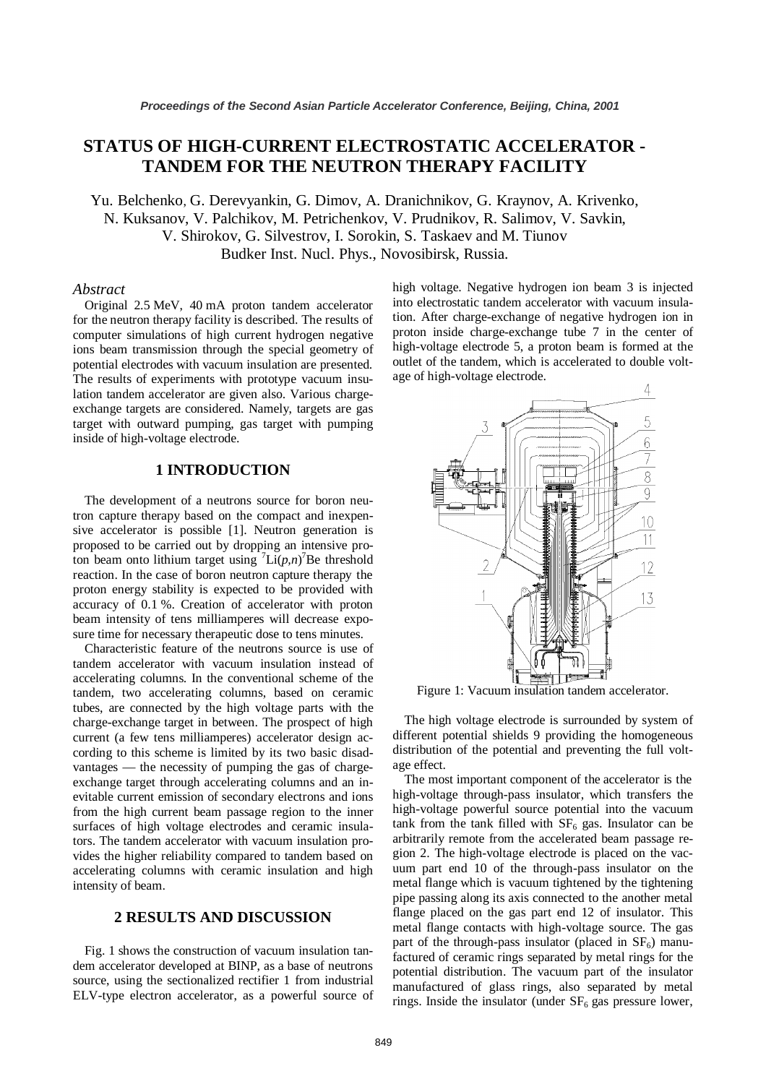# **STATUS OF HIGH-CURRENT ELECTROSTATIC ACCELERATOR - TANDEM FOR THE NEUTRON THERAPY FACILITY**

Yu. Belchenko, G. Derevyankin, G. Dimov, A. Dranichnikov, G. Kraynov, A. Krivenko, N. Kuksanov, V. Palchikov, M. Petrichenkov, V. Prudnikov, R. Salimov, V. Savkin, V. Shirokov, G. Silvestrov, I. Sorokin, S. Taskaev and M. Tiunov Budker Inst. Nucl. Phys., Novosibirsk, Russia.

#### *Abstract*

Original 2.5 MeV, 40 mA proton tandem accelerator for the neutron therapy facility is described. The results of computer simulations of high current hydrogen negative ions beam transmission through the special geometry of potential electrodes with vacuum insulation are presented. The results of experiments with prototype vacuum insulation tandem accelerator are given also. Various chargeexchange targets are considered. Namely, targets are gas target with outward pumping, gas target with pumping inside of high-voltage electrode.

## **1 INTRODUCTION**

The development of a neutrons source for boron neutron capture therapy based on the compact and inexpensive accelerator is possible [1]. Neutron generation is proposed to be carried out by dropping an intensive proton beam onto lithium target using  $\int$ Li $(p,n)$ <sup>7</sup>Be threshold reaction. In the case of boron neutron capture therapy the proton energy stability is expected to be provided with accuracy of 0.1 %. Creation of accelerator with proton beam intensity of tens milliamperes will decrease exposure time for necessary therapeutic dose to tens minutes.

Characteristic feature of the neutrons source is use of tandem accelerator with vacuum insulation instead of accelerating columns. In the conventional scheme of the tandem, two accelerating columns, based on ceramic tubes, are connected by the high voltage parts with the charge-exchange target in between. The prospect of high current (a few tens milliamperes) accelerator design according to this scheme is limited by its two basic disadvantages — the necessity of pumping the gas of chargeexchange target through accelerating columns and an inevitable current emission of secondary electrons and ions from the high current beam passage region to the inner surfaces of high voltage electrodes and ceramic insulators. The tandem accelerator with vacuum insulation provides the higher reliability compared to tandem based on accelerating columns with ceramic insulation and high intensity of beam.

## **2 RESULTS AND DISCUSSION**

Fig. 1 shows the construction of vacuum insulation tandem accelerator developed at BINP, as a base of neutrons source, using the sectionalized rectifier 1 from industrial ELV-type electron accelerator, as a powerful source of high voltage. Negative hydrogen ion beam 3 is injected into electrostatic tandem accelerator with vacuum insulation. After charge-exchange of negative hydrogen ion in proton inside charge-exchange tube 7 in the center of high-voltage electrode 5, a proton beam is formed at the outlet of the tandem, which is accelerated to double voltage of high-voltage electrode.



Figure 1: Vacuum insulation tandem accelerator.

The high voltage electrode is surrounded by system of different potential shields 9 providing the homogeneous distribution of the potential and preventing the full voltage effect.

The most important component of the accelerator is the high-voltage through-pass insulator, which transfers the high-voltage powerful source potential into the vacuum tank from the tank filled with  $SF<sub>6</sub>$  gas. Insulator can be arbitrarily remote from the accelerated beam passage region 2. The high-voltage electrode is placed on the vacuum part end 10 of the through-pass insulator on the metal flange which is vacuum tightened by the tightening pipe passing along its axis connected to the another metal flange placed on the gas part end 12 of insulator. This metal flange contacts with high-voltage source. The gas part of the through-pass insulator (placed in  $SF<sub>6</sub>$ ) manufactured of ceramic rings separated by metal rings for the potential distribution. The vacuum part of the insulator manufactured of glass rings, also separated by metal rings. Inside the insulator (under  $SF<sub>6</sub>$  gas pressure lower,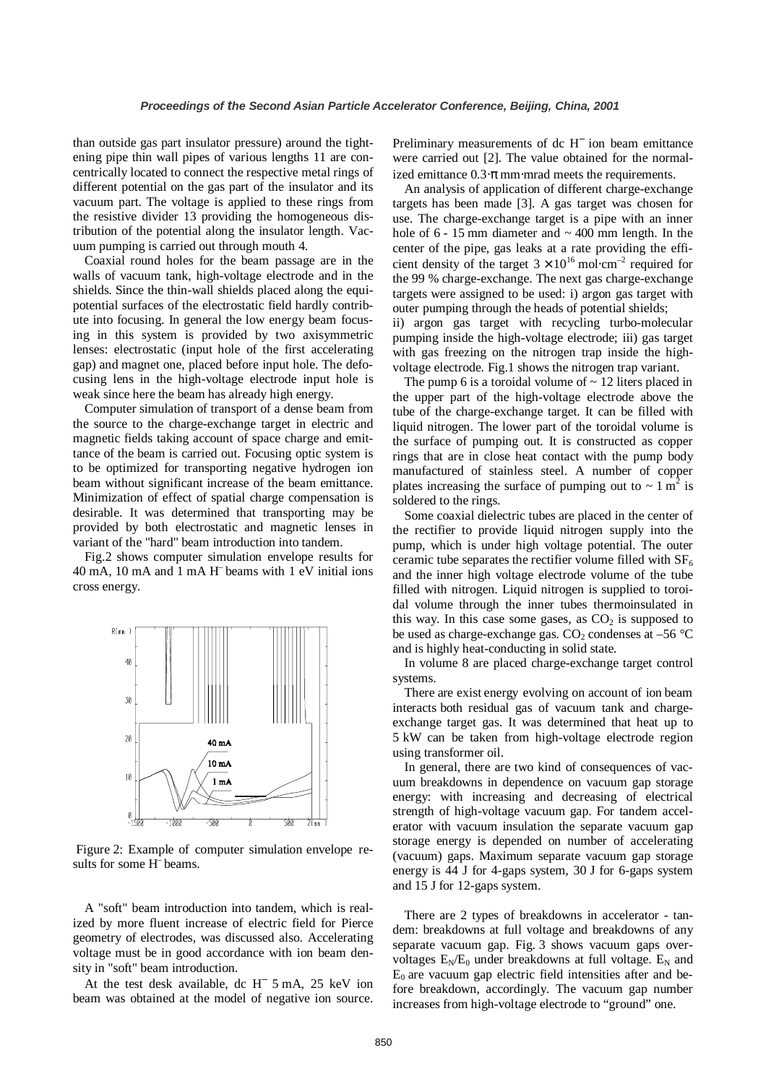than outside gas part insulator pressure) around the tightening pipe thin wall pipes of various lengths 11 are concentrically located to connect the respective metal rings of different potential on the gas part of the insulator and its vacuum part. The voltage is applied to these rings from the resistive divider 13 providing the homogeneous distribution of the potential along the insulator length. Vacuum pumping is carried out through mouth 4.

Coaxial round holes for the beam passage are in the walls of vacuum tank, high-voltage electrode and in the shields. Since the thin-wall shields placed along the equipotential surfaces of the electrostatic field hardly contribute into focusing. In general the low energy beam focusing in this system is provided by two axisymmetric lenses: electrostatic (input hole of the first accelerating gap) and magnet one, placed before input hole. The defocusing lens in the high-voltage electrode input hole is weak since here the beam has already high energy.

Computer simulation of transport of a dense beam from the source to the charge-exchange target in electric and magnetic fields taking account of space charge and emittance of the beam is carried out. Focusing optic system is to be optimized for transporting negative hydrogen ion beam without significant increase of the beam emittance. Minimization of effect of spatial charge compensation is desirable. It was determined that transporting may be provided by both electrostatic and magnetic lenses in variant of the "hard" beam introduction into tandem.

Fig.2 shows computer simulation envelope results for 40 mA, 10 mA and 1 mA H– beams with 1 eV initial ions cross energy.



 Figure 2: Example of computer simulation envelope results for some H– beams.

A "soft" beam introduction into tandem, which is realized by more fluent increase of electric field for Pierce geometry of electrodes, was discussed also. Accelerating voltage must be in good accordance with ion beam density in "soft" beam introduction.

At the test desk available, dc H<sup>−</sup> 5 mA, 25 keV ion beam was obtained at the model of negative ion source.

Preliminary measurements of dc H<sup>−</sup> ion beam emittance were carried out [2]. The value obtained for the normalized emittance  $0.3 \cdot \pi$  mm⋅mrad meets the requirements.

An analysis of application of different charge-exchange targets has been made [3]. A gas target was chosen for use. The charge-exchange target is a pipe with an inner hole of  $6 - 15$  mm diameter and  $\sim 400$  mm length. In the center of the pipe, gas leaks at a rate providing the efficient density of the target  $3 \times 10^{16}$  mol⋅cm<sup>-2</sup> required for the 99 % charge-exchange. The next gas charge-exchange targets were assigned to be used: i) argon gas target with outer pumping through the heads of potential shields; ii) argon gas target with recycling turbo-molecular pumping inside the high-voltage electrode; iii) gas target with gas freezing on the nitrogen trap inside the highvoltage electrode. Fig.1 shows the nitrogen trap variant.

The pump 6 is a toroidal volume of  $\sim$  12 liters placed in the upper part of the high-voltage electrode above the tube of the charge-exchange target. It can be filled with liquid nitrogen. The lower part of the toroidal volume is the surface of pumping out. It is constructed as copper rings that are in close heat contact with the pump body manufactured of stainless steel. A number of copper plates increasing the surface of pumping out to  $\sim 1 \text{ m}^2$  is soldered to the rings.

Some coaxial dielectric tubes are placed in the center of the rectifier to provide liquid nitrogen supply into the pump, which is under high voltage potential. The outer ceramic tube separates the rectifier volume filled with  $SF<sub>6</sub>$ and the inner high voltage electrode volume of the tube filled with nitrogen. Liquid nitrogen is supplied to toroidal volume through the inner tubes thermoinsulated in this way. In this case some gases, as  $CO<sub>2</sub>$  is supposed to be used as charge-exchange gas.  $CO_2$  condenses at –56  $°C$ and is highly heat-conducting in solid state.

In volume 8 are placed charge-exchange target control systems.

There are exist energy evolving on account of ion beam interacts both residual gas of vacuum tank and chargeexchange target gas. It was determined that heat up to 5 kW can be taken from high-voltage electrode region using transformer oil.

In general, there are two kind of consequences of vacuum breakdowns in dependence on vacuum gap storage energy: with increasing and decreasing of electrical strength of high-voltage vacuum gap. For tandem accelerator with vacuum insulation the separate vacuum gap storage energy is depended on number of accelerating (vacuum) gaps. Maximum separate vacuum gap storage energy is 44 J for 4-gaps system, 30 J for 6-gaps system and 15 J for 12-gaps system.

There are 2 types of breakdowns in accelerator - tandem: breakdowns at full voltage and breakdowns of any separate vacuum gap. Fig. 3 shows vacuum gaps overvoltages  $E_N/E_0$  under breakdowns at full voltage.  $E_N$  and  $E_0$  are vacuum gap electric field intensities after and before breakdown, accordingly. The vacuum gap number increases from high-voltage electrode to "ground" one.